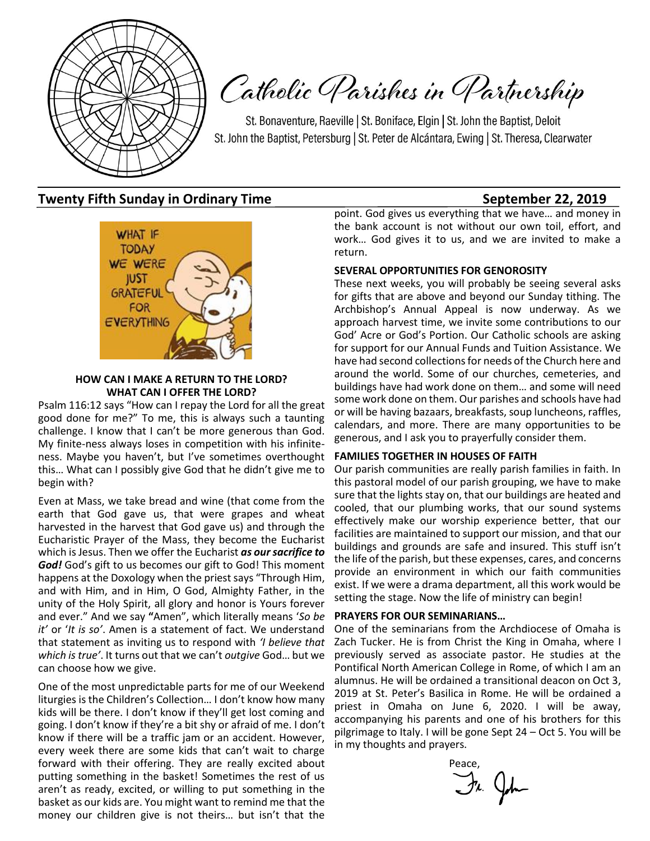

Catholic Parishes in Partnership

St. Bonaventure, Raeville | St. Boniface, Elgin | St. John the Baptist, Deloit St. John the Baptist, Petersburg | St. Peter de Alcántara, Ewing | St. Theresa, Clearwater

## **Twenty Fifth Sunday in Ordinary Time September 22, 2019**



#### **HOW CAN I MAKE A RETURN TO THE LORD? WHAT CAN I OFFER THE LORD?**

Psalm 116:12 says "How can I repay the Lord for all the great good done for me?" To me, this is always such a taunting challenge. I know that I can't be more generous than God. My finite-ness always loses in competition with his infiniteness. Maybe you haven't, but I've sometimes overthought this… What can I possibly give God that he didn't give me to begin with?

Even at Mass, we take bread and wine (that come from the earth that God gave us, that were grapes and wheat harvested in the harvest that God gave us) and through the Eucharistic Prayer of the Mass, they become the Eucharist which is Jesus. Then we offer the Eucharist *as our sacrifice to God!* God's gift to us becomes our gift to God! This moment happens at the Doxology when the priest says "Through Him, and with Him, and in Him, O God, Almighty Father, in the unity of the Holy Spirit, all glory and honor is Yours forever and ever." And we say **"**Amen", which literally means '*So be it'* or '*It is so'*. Amen is a statement of fact. We understand that statement as inviting us to respond with *'I believe that which is true'*. It turns out that we can't *outgive* God… but we can choose how we give.

One of the most unpredictable parts for me of our Weekend liturgies is the Children's Collection… I don't know how many kids will be there. I don't know if they'll get lost coming and going. I don't know if they're a bit shy or afraid of me. I don't know if there will be a traffic jam or an accident. However, every week there are some kids that can't wait to charge forward with their offering. They are really excited about putting something in the basket! Sometimes the rest of us aren't as ready, excited, or willing to put something in the basket as our kids are. You might want to remind me that the money our children give is not theirs… but isn't that the

point. God gives us everything that we have… and money in the bank account is not without our own toil, effort, and work… God gives it to us, and we are invited to make a return.

#### **SEVERAL OPPORTUNITIES FOR GENOROSITY**

These next weeks, you will probably be seeing several asks for gifts that are above and beyond our Sunday tithing. The Archbishop's Annual Appeal is now underway. As we approach harvest time, we invite some contributions to our God' Acre or God's Portion. Our Catholic schools are asking for support for our Annual Funds and Tuition Assistance. We have had second collections for needs of the Church here and around the world. Some of our churches, cemeteries, and buildings have had work done on them… and some will need some work done on them. Our parishes and schools have had or will be having bazaars, breakfasts, soup luncheons, raffles, calendars, and more. There are many opportunities to be generous, and I ask you to prayerfully consider them.

#### **FAMILIES TOGETHER IN HOUSES OF FAITH**

Our parish communities are really parish families in faith. In this pastoral model of our parish grouping, we have to make sure that the lights stay on, that our buildings are heated and cooled, that our plumbing works, that our sound systems effectively make our worship experience better, that our facilities are maintained to support our mission, and that our buildings and grounds are safe and insured. This stuff isn't the life of the parish, but these expenses, cares, and concerns provide an environment in which our faith communities exist. If we were a drama department, all this work would be setting the stage. Now the life of ministry can begin!

#### **PRAYERS FOR OUR SEMINARIANS…**

One of the seminarians from the Archdiocese of Omaha is Zach Tucker. He is from Christ the King in Omaha, where I previously served as associate pastor. He studies at the Pontifical North American College in Rome, of which I am an alumnus. He will be ordained a transitional deacon on Oct 3, 2019 at St. Peter's Basilica in Rome. He will be ordained a priest in Omaha on June 6, 2020. I will be away, accompanying his parents and one of his brothers for this pilgrimage to Italy. I will be gone Sept 24 – Oct 5. You will be in my thoughts and prayers.

 $J_4$   $Q_{\mu}$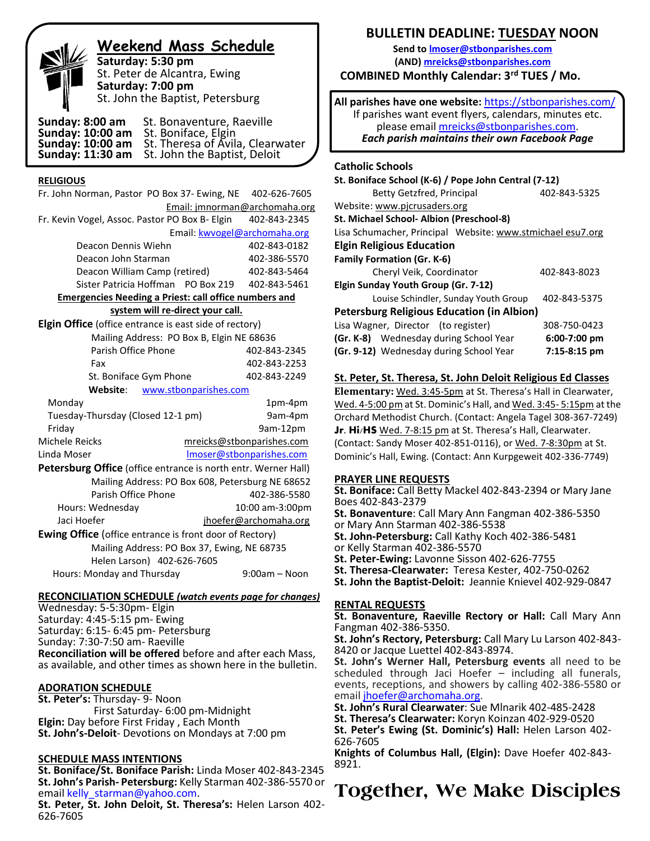| <b>Weekend Mass Schedule</b>                                                                                                                                                                               |                   |
|------------------------------------------------------------------------------------------------------------------------------------------------------------------------------------------------------------|-------------------|
| Saturday: 5:30 pm<br>St. Peter de Alcantra, Ewing<br>Saturday: 7:00 pm                                                                                                                                     | <b>COMB</b>       |
| St. John the Baptist, Petersburg                                                                                                                                                                           | <b>All parisl</b> |
| Sunday: 8:00 am<br>St. Bonaventure, Raeville<br><b>Sunday: 10:00 am</b><br>St. Boniface, Elgin<br>St. Theresa of Avila, Clearwater<br>St. John the Baptist, Deloit<br>Sunday: 10:00 am<br>Sunday: 11:30 am | If par<br>Ea      |
|                                                                                                                                                                                                            | <b>Catholic</b>   |

#### **RELIGIOUS**

֞

| Fr. John Norman, Pastor PO Box 37- Ewing, NE                   |                       | 402-626-7605                  |
|----------------------------------------------------------------|-----------------------|-------------------------------|
|                                                                |                       | Email: jmnorman@archomaha.org |
| Fr. Kevin Vogel, Assoc. Pastor PO Box B- Elgin                 |                       | 402-843-2345                  |
|                                                                |                       | Email: kwvogel@archomaha.org  |
| Deacon Dennis Wiehn                                            |                       | 402-843-0182                  |
| Deacon John Starman                                            |                       | 402-386-5570                  |
| Deacon William Camp (retired)                                  |                       | 402-843-5464                  |
| Sister Patricia Hoffman PO Box 219                             |                       | 402-843-5461                  |
| <b>Emergencies Needing a Priest: call office numbers and</b>   |                       |                               |
| system will re-direct your call.                               |                       |                               |
| <b>Elgin Office</b> (office entrance is east side of rectory)  |                       |                               |
| Mailing Address: PO Box B, Elgin NE 68636                      |                       |                               |
| Parish Office Phone                                            |                       | 402-843-2345                  |
| Fax                                                            |                       | 402-843-2253                  |
| St. Boniface Gym Phone                                         |                       | 402-843-2249                  |
| Website:                                                       | www.stbonparishes.com |                               |
| Monday                                                         |                       | 1pm-4pm                       |
| Tuesday-Thursday (Closed 12-1 pm)                              |                       | 9am-4pm                       |
| Friday                                                         |                       | 9am-12pm                      |
| Michele Reicks                                                 |                       | mreicks@stbonparishes.com     |
| Linda Moser                                                    |                       | Imoser@stbonparishes.com      |
| Petersburg Office (office entrance is north entr. Werner Hall) |                       |                               |
| Mailing Address: PO Box 608, Petersburg NE 68652               |                       |                               |
| Parish Office Phone                                            |                       | 402-386-5580                  |
| Hours: Wednesday                                               |                       | 10:00 am-3:00pm               |
| Jaci Hoefer                                                    |                       | jhoefer@archomaha.org         |
| <b>Ewing Office</b> (office entrance is front door of Rectory) |                       |                               |
| Mailing Address: PO Box 37, Ewing, NE 68735                    |                       |                               |
| Helen Larson) 402-626-7605                                     |                       |                               |
| Hours: Monday and Thursday                                     |                       | $9:00$ am - Noon              |
|                                                                |                       |                               |

#### **RECONCILIATION SCHEDULE** *(watch events page for changes)*

Wednesday: 5-5:30pm- Elgin Saturday: 4:45-5:15 pm- Ewing Saturday: 6:15- 6:45 pm- Petersburg Sunday: 7:30-7:50 am- Raeville **Reconciliation will be offered** before and after each Mass, as available, and other times as shown here in the bulletin.

#### **ADORATION SCHEDULE**

**St. Peter's:** Thursday- 9- Noon First Saturday- 6:00 pm-Midnight **Elgin:** Day before First Friday , Each Month **St. John's-Deloit**- Devotions on Mondays at 7:00 pm

#### **SCHEDULE MASS INTENTIONS**

**St. Boniface/St. Boniface Parish:** Linda Moser 402-843-2345 **St. John's Parish- Petersburg:** Kelly Starman 402-386-5570 or email [kelly\\_starman@yahoo.com.](mailto:kelly_starman@yahoo.com)

**St. Peter, St. John Deloit, St. Theresa's:** Helen Larson 402- 626-7605

### **BULLETIN DEADLINE: TUESDAY NOON**

**Send t[o lmoser@stbonparishes.com](mailto:lmoser@stbonparishes.com) (AND) [mreicks@stbonparishes.com](mailto:mreicks@stbonparishes.com) COMBINED Monthly Calendar: 3rd TUES / Mo.** 

**All parishes have one website:** <https://stbonparishes.com/> rishes want event flyers, calendars, minutes etc. please email [mreicks@stbonparishes.com.](mailto:mreicks@stbonparishes.com) *Each parish maintains their own Facebook Page*

#### **Catholic Schools**

| St. Boniface School (K-6) / Pope John Central (7-12)       |                |  |  |  |
|------------------------------------------------------------|----------------|--|--|--|
| Betty Getzfred, Principal                                  | 402-843-5325   |  |  |  |
| Website: www.picrusaders.org                               |                |  |  |  |
| St. Michael School- Albion (Preschool-8)                   |                |  |  |  |
| Lisa Schumacher, Principal Website: www.stmichael esu7.org |                |  |  |  |
| <b>Elgin Religious Education</b>                           |                |  |  |  |
| <b>Family Formation (Gr. K-6)</b>                          |                |  |  |  |
| Cheryl Veik, Coordinator                                   | 402-843-8023   |  |  |  |
| Elgin Sunday Youth Group (Gr. 7-12)                        |                |  |  |  |
| Louise Schindler, Sunday Youth Group                       | 402-843-5375   |  |  |  |
| <b>Petersburg Religious Education (in Albion)</b>          |                |  |  |  |
| Lisa Wagner, Director (to register)                        | 308-750-0423   |  |  |  |
| (Gr. K-8) Wednesday during School Year                     | $6:00-7:00$ pm |  |  |  |
| (Gr. 9-12) Wednesday during School Year                    | 7:15-8:15 pm   |  |  |  |

#### **St. Peter, St. Theresa, St. John Deloit Religious Ed Classes**

**Elementary:** Wed. 3:45-5pm at St. Theresa's Hall in Clearwater, Wed. 4-5:00 pm at St. Dominic's Hall, and Wed. 3:45- 5:15pm at the Orchard Methodist Church. (Contact: Angela Tagel 308-367-7249) **Jr. Hi/HS** Wed. 7-8:15 pm at St. Theresa's Hall, Clearwater. (Contact: Sandy Moser 402-851-0116), or Wed. 7-8:30pm at St. Dominic's Hall, Ewing. (Contact: Ann Kurpgeweit 402-336-7749)

#### **PRAYER LINE REQUESTS**

**St. Boniface:** Call Betty Mackel 402-843-2394 or Mary Jane Boes 402-843-2379

**St. Bonaventure**: Call Mary Ann Fangman 402-386-5350 or Mary Ann Starman 402-386-5538

**St. John-Petersburg:** Call Kathy Koch 402-386-5481

or Kelly Starman 402-386-5570

**St. Peter-Ewing:** Lavonne Sisson 402-626-7755

**St. Theresa-Clearwater:** Teresa Kester, 402-750-0262

**St. John the Baptist-Deloit:** Jeannie Knievel 402-929-0847

#### **RENTAL REQUESTS**

**St. Bonaventure, Raeville Rectory or Hall:** Call Mary Ann Fangman 402-386-5350.

**St. John's Rectory, Petersburg:** Call Mary Lu Larson 402-843- 8420 or Jacque Luettel 402-843-8974.

**St. John's Werner Hall, Petersburg events** all need to be scheduled through Jaci Hoefer – including all funerals, events, receptions, and showers by calling 402-386-5580 or email [jhoefer@archomaha.org.](mailto:jhoefer@archomaha.org)

**St. John's Rural Clearwater**: Sue Mlnarik 402-485-2428

**St. Theresa's Clearwater:** Koryn Koinzan 402-929-0520

**St. Peter's Ewing (St. Dominic's) Hall:** Helen Larson 402- 626-7605

**Knights of Columbus Hall, (Elgin):** Dave Hoefer 402-843- 8921.

# **Together, We Make Disciples**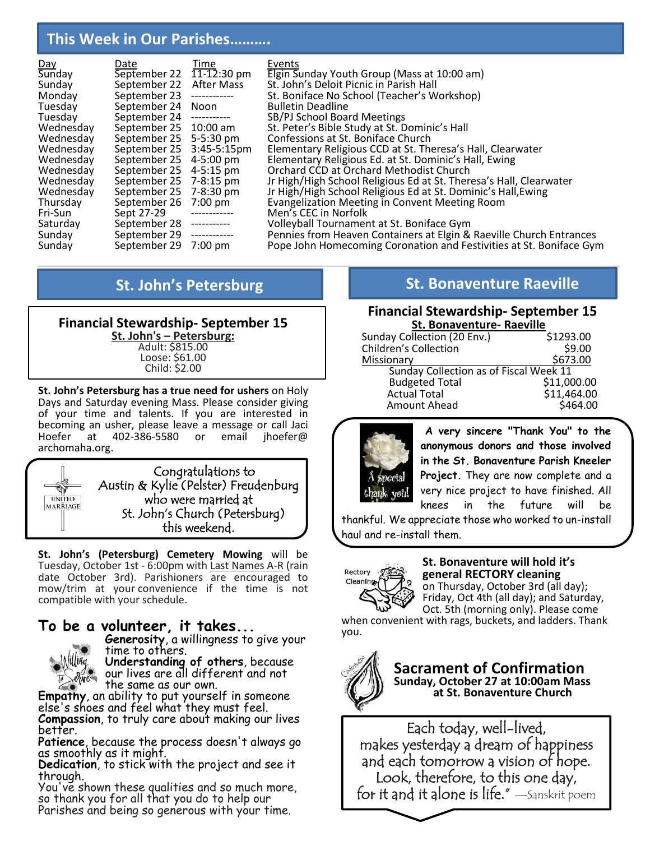# **This Week in Our Parishes……….**

|                      | Date                      | Time         | Events                                                              |
|----------------------|---------------------------|--------------|---------------------------------------------------------------------|
| <u>Day</u><br>Sunday | September 22 11-12:30 pm  |              | Elgin Sunday Youth Group (Mass at 10:00 am)                         |
| Sunday               | September 22              | After Mass   | St. John's Deloit Picnic in Parish Hall                             |
| Monday               | September 23              | ------------ | St. Boniface No School (Teacher's Workshop)                         |
| Tuesday              | September 24 Noon         |              | <b>Bulletin Deadline</b>                                            |
| Tuesday              | September 24              | ------------ | SB/PJ School Board Meetings                                         |
| Wednesday            | September 25 10:00 am     |              | St. Peter's Bible Study at St. Dominic's Hall                       |
| Wednesday            | September 25 5-5:30 pm    |              | Confessions at St. Boniface Church                                  |
| Wednesday            | September 25 3:45-5:15pm  |              | Elementary Religious CCD at St. Theresa's Hall, Clearwater          |
| Wednesday            | September 25 4-5:00 pm    |              | Elementary Religious Ed. at St. Dominic's Hall, Ewing               |
| Wednesday            | September 25              | 4-5:15 pm    | Orchard CCD at Orchard Methodist Church                             |
| Wednesday            | September 25 7-8:15 pm    |              | Jr High/High School Religious Ed at St. Theresa's Hall, Clearwater  |
| Wednesday            | September 25 7-8:30 pm    |              | Jr High/High School Religious Ed at St. Dominic's Hall, Ewing       |
| Thursday             | September 26              | 7:00 pm      | Evangelization Meeting in Convent Meeting Room                      |
| Fri-Sun              | Sept 27-29                |              | Men's CEC in Norfolk                                                |
| Saturday             | September 28              | ------------ | Volleyball Tournament at St. Boniface Gym                           |
| Sunday               | September 29 ------------ |              | Pennies from Heaven Containers at Elgin & Raeville Church Entrances |
| Sunday               | September 29 7:00 pm      |              | Pope John Homecoming Coronation and Festivities at St. Boniface Gym |

#### **Financial Stewardship- September 15 St. John's – Petersburg:** Adult: \$815.00 Loose: \$61.00 Child: \$2.00

**St. John's Petersburg has a true need for ushers** on Holy Days and Saturday evening Mass. Please consider giving of your time and talents. If you are interested in becoming an usher, please leave a message or call Jaci 402-386-5580 archomaha.org.



**St. John's (Petersburg) Cemetery Mowing** will be Tuesday, October 1st - 6:00pm with Last Names A-R (rain date October 3rd). Parishioners are encouraged to mow/trim at your convenience if the time is not compatible with your schedule.

# **To be a volunteer, it takes...**



**Generosity**, a willingness to give your time to others. **Understanding of others**, because

our lives are all different and not the same as our own.

**Empathy**, an ability to put yourself in someone else's shoes and feel what they must feel. **Compassion**, to truly care about making our lives better.

**Patience**, because the process doesn't always go as smoothly as it might.

**Dedication**, to stick with the project and see it through.

You've shown these qualities and so much more, so thank you for all that you do to help our Parishes and being so generous with your time.

# **St. John's Petersburg The Construction Construction St. Bonaventure Raeville**

### **Financial Stewardship- September 15 St. Bonaventure- Raeville**

| Sunday Collection (20 Env.)            | \$1293.00   |
|----------------------------------------|-------------|
| <b>Children's Collection</b>           | \$9.00      |
| Missionary                             | \$673.00    |
| Sunday Collection as of Fiscal Week 11 |             |
| <b>Budgeted Total</b>                  | \$11,000.00 |
| <b>Actual Total</b>                    | \$11,464.00 |
| Amount Ahead                           | \$464.00    |



**A very sincere "Thank You" to the anonymous donors and those involved in the St. Bonaventure Parish Kneeler Project.** They are now complete and a very nice project to have finished. All knees in the future will be

thankful. We appreciate those who worked to un-install haul and re-install them.



#### **St. Bonaventure will hold it's general RECTORY cleaning** on Thursday, October 3rd (all day);

Friday, Oct 4th (all day); and Saturday, Oct. 5th (morning only). Please come

when convenient with rags, buckets, and ladders. Thank you.



### **Sacrament of Confirmation Sunday, October 27 at 10:00am Mass at St. Bonaventure Church**

Each today, well-lived, makes yesterday a dream of happiness and each tomorrow a vision of hope. Look, therefore, to this one day,  $\operatorname{\mathsf{for}}$  it and it alone is life."  $-$ Sanskrit poem-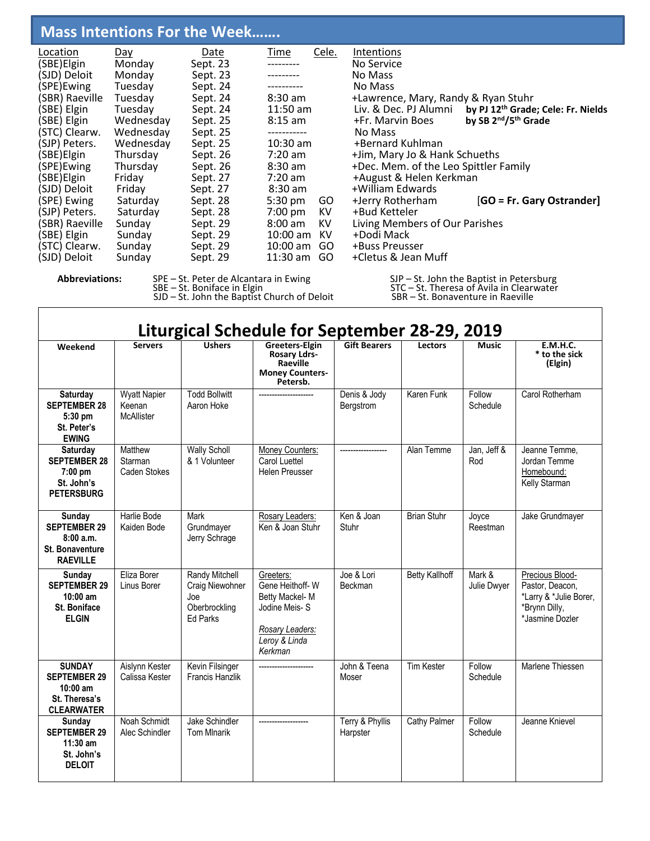# **Mass Intentions For the Week…….**

| Location       | Day       | Date     | Time              | Cele. | Intentions                            |                                                |
|----------------|-----------|----------|-------------------|-------|---------------------------------------|------------------------------------------------|
| (SBE) Elgin    | Monday    | Sept. 23 |                   |       | No Service                            |                                                |
| (SJD) Deloit   | Monday    | Sept. 23 |                   |       | No Mass                               |                                                |
| (SPE)Ewing     | Tuesday   | Sept. 24 |                   |       | No Mass                               |                                                |
| (SBR) Raeville | Tuesday   | Sept. 24 | $8:30$ am         |       | +Lawrence, Mary, Randy & Ryan Stuhr   |                                                |
| (SBE) Elgin    | Tuesday   | Sept. 24 | $11:50$ am        |       | Liv. & Dec. PJ Alumni                 | by PJ 12 <sup>th</sup> Grade; Cele: Fr. Nields |
| (SBE) Elgin    | Wednesday | Sept. 25 | $8:15$ am         |       | +Fr. Marvin Boes                      | by SB 2 <sup>nd</sup> /5 <sup>th</sup> Grade   |
| (STC) Clearw.  | Wednesday | Sept. 25 | ------------      |       | No Mass                               |                                                |
| (SJP) Peters.  | Wednesday | Sept. 25 | $10:30$ am        |       | +Bernard Kuhlman                      |                                                |
| (SBE)Elgin     | Thursday  | Sept. 26 | $7:20$ am         |       | +Jim, Mary Jo & Hank Schueths         |                                                |
| (SPE)Ewing     | Thursday  | Sept. 26 | $8:30$ am         |       | +Dec. Mem. of the Leo Spittler Family |                                                |
| (SBE) Elgin    | Friday    | Sept. 27 | $7:20$ am         |       | +August & Helen Kerkman               |                                                |
| (SJD) Deloit   | Friday    | Sept. 27 | $8:30$ am         |       | +William Edwards                      |                                                |
| (SPE) Ewing    | Saturday  | Sept. 28 | 5:30 pm           | GO    | +Jerry Rotherham                      | [GO = Fr. Gary Ostrander]                      |
| (SJP) Peters.  | Saturday  | Sept. 28 | $7:00 \text{ pm}$ | KV.   | +Bud Ketteler                         |                                                |
| (SBR) Raeville | Sunday    | Sept. 29 | $8:00$ am         | KV    | Living Members of Our Parishes        |                                                |
| (SBE) Elgin    | Sunday    | Sept. 29 | $10:00$ am        | KV.   | +Dodi Mack                            |                                                |
| (STC) Clearw.  | Sunday    | Sept. 29 | $10:00$ am        | GO.   | +Buss Preusser                        |                                                |
| (SJD) Deloit   | Sunday    | Sept. 29 | $11:30$ am        | GO.   | +Cletus & Jean Muff                   |                                                |
|                |           |          |                   |       |                                       |                                                |

Abbreviations: SPE – St. Peter de Alcantara in Ewing SJP – St. John the Baptist in Petersburg

SBE – St. Boniface in Elgin  $S_{\text{S}}$  is strongly strictly strictly strictly strictly strictly strictly strictly strictly strictly strictly strictly strictly strictly strictly strictly strictly strictly strictly strictly SJD – St. John the Baptist Church of Deloit SBR – St. Bonaventure in Raeville

| Liturgical Schedule for September 28-29, 2019                                            |                                             |                                                                              |                                                                                                                |                              |                       |                       |                                                                                                  |
|------------------------------------------------------------------------------------------|---------------------------------------------|------------------------------------------------------------------------------|----------------------------------------------------------------------------------------------------------------|------------------------------|-----------------------|-----------------------|--------------------------------------------------------------------------------------------------|
| Weekend                                                                                  | <b>Servers</b>                              | <b>Ushers</b>                                                                | Greeters-Elgin<br><b>Rosary Ldrs-</b><br>Raeville<br><b>Money Counters-</b><br>Petersb.                        | <b>Gift Bearers</b>          | <b>Lectors</b>        | <b>Music</b>          | <b>E.M.H.C.</b><br>* to the sick<br>(Elgin)                                                      |
| <b>Saturday</b><br><b>SEPTEMBER 28</b><br>$5:30$ pm<br>St. Peter's<br><b>EWING</b>       | <b>Wyatt Napier</b><br>Keenan<br>McAllister | <b>Todd Bollwitt</b><br>Aaron Hoke                                           |                                                                                                                | Denis & Jody<br>Bergstrom    | Karen Funk            | Follow<br>Schedule    | Carol Rotherham                                                                                  |
| Saturday<br><b>SEPTEMBER 28</b><br>$7:00$ pm<br>St. John's<br><b>PETERSBURG</b>          | Matthew<br>Starman<br><b>Caden Stokes</b>   | <b>Wally Scholl</b><br>& 1 Volunteer                                         | Money Counters:<br>Carol Luettel<br><b>Helen Preusser</b>                                                      |                              | Alan Temme            | Jan, Jeff &<br>Rod    | Jeanne Temme,<br>Jordan Temme<br>Homebound:<br>Kelly Starman                                     |
| Sunday<br><b>SEPTEMBER 29</b><br>8:00a.m.<br><b>St. Bonaventure</b><br><b>RAEVILLE</b>   | Harlie Bode<br>Kaiden Bode                  | Mark<br>Grundmayer<br>Jerry Schrage                                          | Rosary Leaders:<br>Ken & Joan Stuhr                                                                            | Ken & Joan<br>Stuhr          | <b>Brian Stuhr</b>    | Joyce<br>Reestman     | Jake Grundmayer                                                                                  |
| Sunday<br><b>SEPTEMBER 29</b><br>$10:00$ am<br><b>St. Boniface</b><br><b>ELGIN</b>       | Eliza Borer<br>Linus Borer                  | Randy Mitchell<br>Craig Niewohner<br>Joe<br>Oberbrockling<br><b>Fd Parks</b> | Greeters:<br>Gene Heithoff-W<br>Betty Mackel-M<br>Jodine Meis-S<br>Rosary Leaders:<br>Leroy & Linda<br>Kerkman | Joe & Lori<br><b>Beckman</b> | <b>Betty Kallhoff</b> | Mark &<br>Julie Dwyer | Precious Blood-<br>Pastor, Deacon,<br>*Larry & *Julie Borer,<br>*Brynn Dilly,<br>*Jasmine Dozler |
| <b>SUNDAY</b><br><b>SEPTEMBER 29</b><br>$10:00$ am<br>St. Theresa's<br><b>CLEARWATER</b> | Aislynn Kester<br>Calissa Kester            | Kevin Filsinger<br><b>Francis Hanzlik</b>                                    |                                                                                                                | John & Teena<br>Moser        | <b>Tim Kester</b>     | Follow<br>Schedule    | Marlene Thiessen                                                                                 |
| Sunday<br><b>SEPTEMBER 29</b><br>$11:30$ am<br>St. John's<br><b>DELOIT</b>               | Noah Schmidt<br>Alec Schindler              | Jake Schindler<br><b>Tom Minarik</b>                                         |                                                                                                                | Terry & Phyllis<br>Harpster  | Cathy Palmer          | Follow<br>Schedule    | Jeanne Knievel                                                                                   |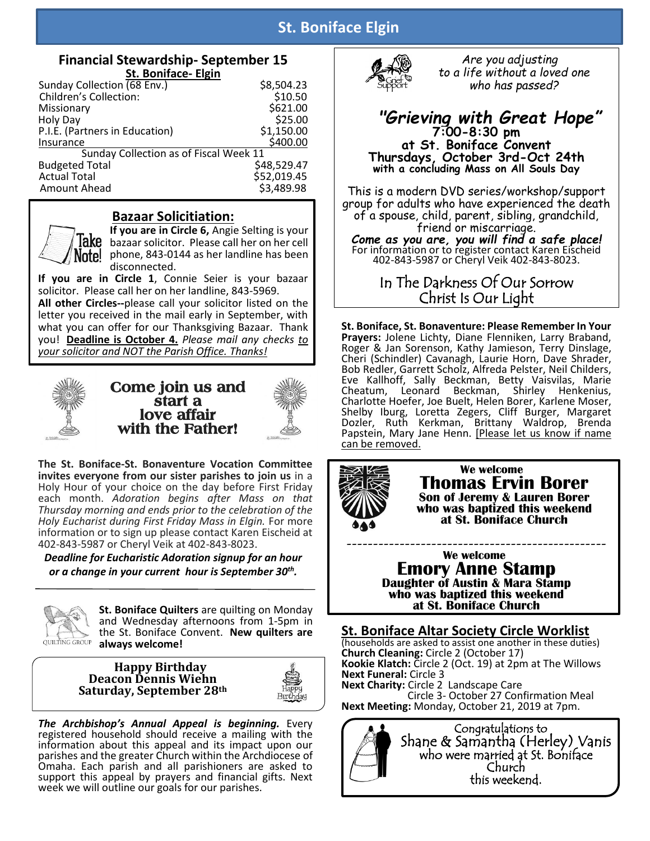## **St. Boniface Elgin**

### **Financial Stewardship- September 15 St. Boniface- Elgin**

| Sunday Collection (68 Env.)            | \$8,504.23  |
|----------------------------------------|-------------|
| <b>Children's Collection:</b>          | \$10.50     |
| Missionary                             | \$621.00    |
| Holy Day                               | \$25.00     |
| P.I.E. (Partners in Education)         | \$1,150.00  |
| Insurance                              | \$400.00    |
| Sunday Collection as of Fiscal Week 11 |             |
| <b>Budgeted Total</b>                  | \$48,529.47 |
| <b>Actual Total</b>                    | \$52,019.45 |
| Amount Ahead                           | \$3,489.98  |

### **Bazaar Solicitiation:**



**If you are in Circle 6,** Angie Selting is your lake bazaar solicitor. Please call her on her cell Note! phone, 843-0144 as her landline has been disconnected.

**If you are in Circle 1**, Connie Seier is your bazaar solicitor. Please call her on her landline, 843-5969. **All other Circles--**please call your solicitor listed on the letter you received in the mail early in September, with what you can offer for our Thanksgiving Bazaar. Thank you! **Deadline is October 4.** *Please mail any checks to* 

*your solicitor and NOT the Parish Office. Thanks!*



**Come join us and start a love affair with the Father!** 



**The St. Boniface-St. Bonaventure Vocation Committee invites everyone from our sister parishes to join us** in a Holy Hour of your choice on the day before First Friday each month. *Adoration begins after Mass on that Thursday morning and ends prior to the celebration of the Holy Eucharist during First Friday Mass in Elgin.* For more information or to sign up please contact Karen Eischeid at 402-843-5987 or Cheryl Veik at 402-843-8023.

*Deadline for Eucharistic Adoration signup for an hour or a change in your current hour is September 30th .*



**St. Boniface Quilters** are quilting on Monday and Wednesday afternoons from 1-5pm in the St. Boniface Convent. **New quilters are**  QUILTING GROUP always welcome!

#### **Happy Birthday Deacon Dennis Wiehn Saturday, September 28th**



*The Archbishop's Annual Appeal is beginning.* Every registered household should receive a mailing with the information about this appeal and its impact upon our parishes and the greater Church within the Archdiocese of Omaha. Each parish and all parishioners are asked to support this appeal by prayers and financial gifts. Next week we will outline our goals for our parishes.



 *Are you adjusting to a life without a loved one who has passed?*

### *"Grieving with Great Hope"* **7:00-8:30 pm at St. Boniface Convent Thursdays, October 3rd-Oct 24th with a concluding Mass on All Souls Day**

This is a modern DVD series/workshop/support group for adults who have experienced the death of a spouse, child, parent, sibling, grandchild, friend or miscarriage.

*Come as you are, you will find a safe place!* For information or to register contact Karen Eischeid 402-843-5987 or Cheryl Veik 402-843-8023.

> In The Darkness Of Our Sorrow Christ Is Our Light

**St. Boniface, St. Bonaventure: Please Remember In Your Prayers:** Jolene Lichty, Diane Flenniken, Larry Braband, Roger & Jan Sorenson, Kathy Jamieson, Terry Dinslage, Cheri (Schindler) Cavanagh, Laurie Horn, Dave Shrader, Bob Redler, Garrett Scholz, Alfreda Pelster, Neil Childers, Eve Kallhoff, Sally Beckman, Betty Vaisvilas, Marie Cheatum, Leonard Beckman, Shirley Henkenius, Charlotte Hoefer, Joe Buelt, Helen Borer, Karlene Moser, Shelby Iburg, Loretta Zegers, Cliff Burger, Margaret Dozler, Ruth Kerkman, Brittany Waldrop, Brenda Papstein, Mary Jane Henn. [Please let us know if name can be removed.



 **We welcome Thomas Ervin Borer Son of Jeremy & Lauren Borer who was baptized this weekend at St. Boniface Church**

-------------------------------------------------  **We welcome Emory Anne Stamp Daughter of Austin & Mara Stamp who was baptized this weekend at St. Boniface Church**

**St. Boniface Altar Society Circle Worklist** (households are asked to assist one another in these duties) **Church Cleaning:** Circle 2 (October 17) **Kookie Klatch:** Circle 2 (Oct. 19) at 2pm at The Willows **Next Funeral:** Circle 3 **Next Charity:** Circle 2 Landscape Care Circle 3- October 27 Confirmation Meal **Next Meeting:** Monday, October 21, 2019 at 7pm.



 Congratulations to Shane & Samantha (Herley) Vanis who were married at St. Boniface Church this weekend.